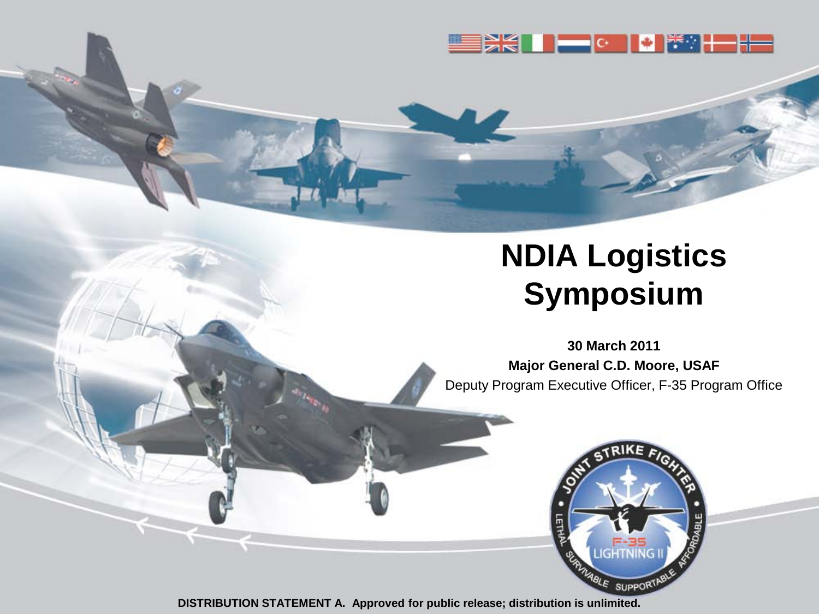

## **NDIA Logistics Symposium**

**30 March 2011 Major General C.D. Moore, USAF** Deputy Program Executive Officer, F-35 Program Office

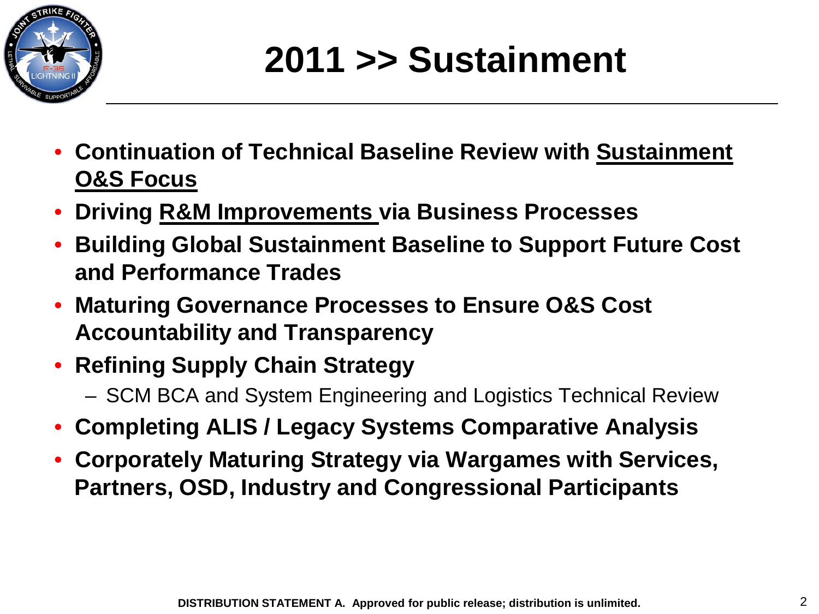

# **2011 >> Sustainment**

- **Continuation of Technical Baseline Review with Sustainment O&S Focus**
- **Driving R&M Improvements via Business Processes**
- **Building Global Sustainment Baseline to Support Future Cost and Performance Trades**
- **Maturing Governance Processes to Ensure O&S Cost Accountability and Transparency**
- **Refining Supply Chain Strategy**
	- SCM BCA and System Engineering and Logistics Technical Review
- **Completing ALIS / Legacy Systems Comparative Analysis**
- **Corporately Maturing Strategy via Wargames with Services, Partners, OSD, Industry and Congressional Participants**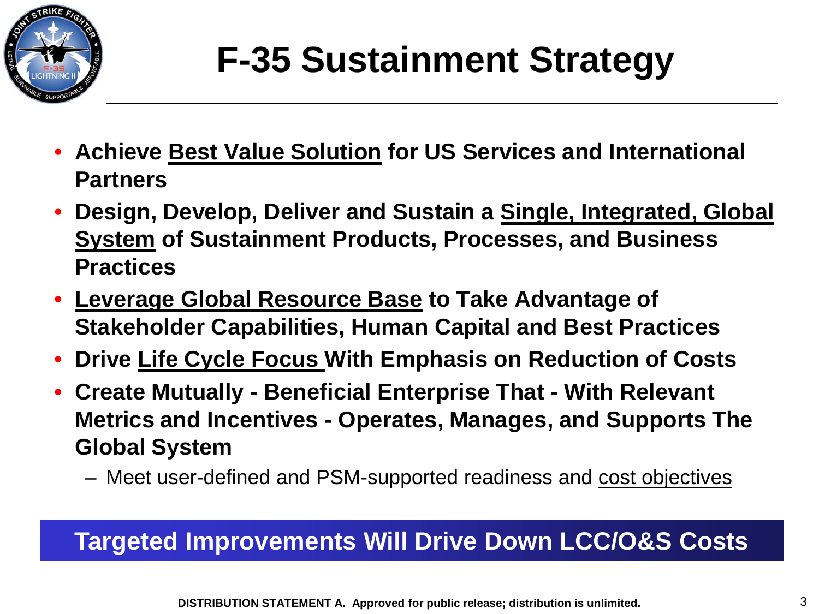

# **F-35 Sustainment Strategy**

- **Achieve Best Value Solution for US Services and International Partners**
- **Design, Develop, Deliver and Sustain a Single, Integrated, Global System of Sustainment Products, Processes, and Business Practices**
- **Leverage Global Resource Base to Take Advantage of Stakeholder Capabilities, Human Capital and Best Practices**
- **Drive Life Cycle Focus With Emphasis on Reduction of Costs**
- **Create Mutually - Beneficial Enterprise That - With Relevant Metrics and Incentives - Operates, Manages, and Supports The Global System**
	- Meet user-defined and PSM-supported readiness and cost objectives

### **Targeted Improvements Will Drive Down LCC/O&S Costs**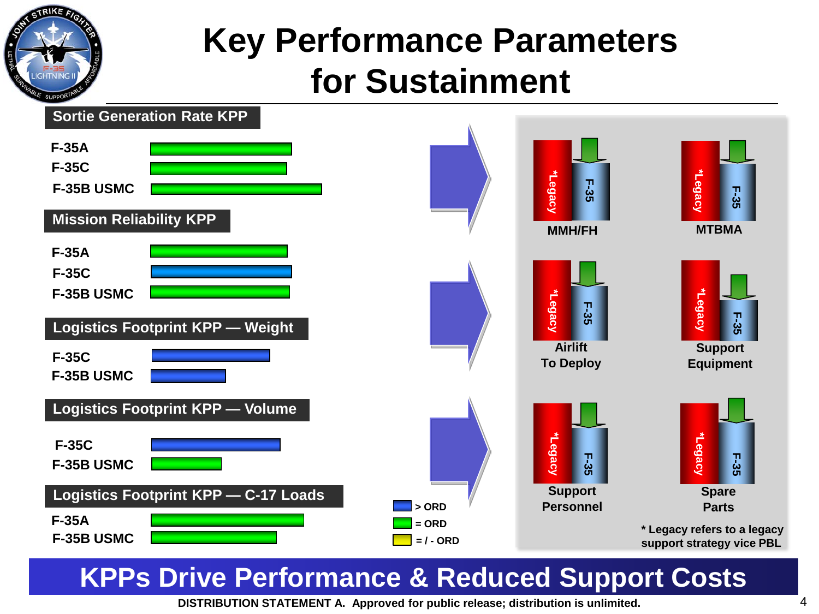

## **for Sustainment Key Performance Parameters**



### **KPPs Drive Performance & Reduced Support Costs**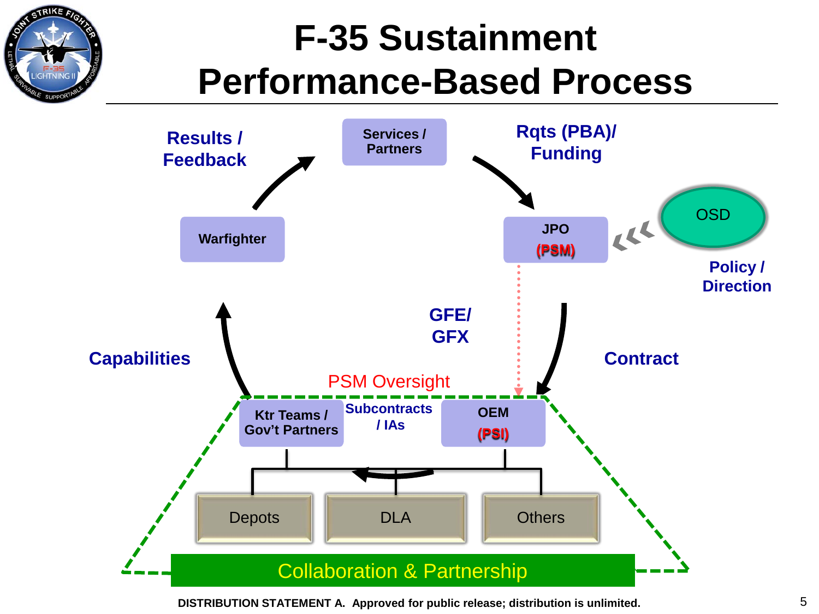# **F-35 Sustainment Performance-Based Process**

TRIKE A



**DISTRIBUTION STATEMENT A. Approved for public release; distribution is unlimited.** 5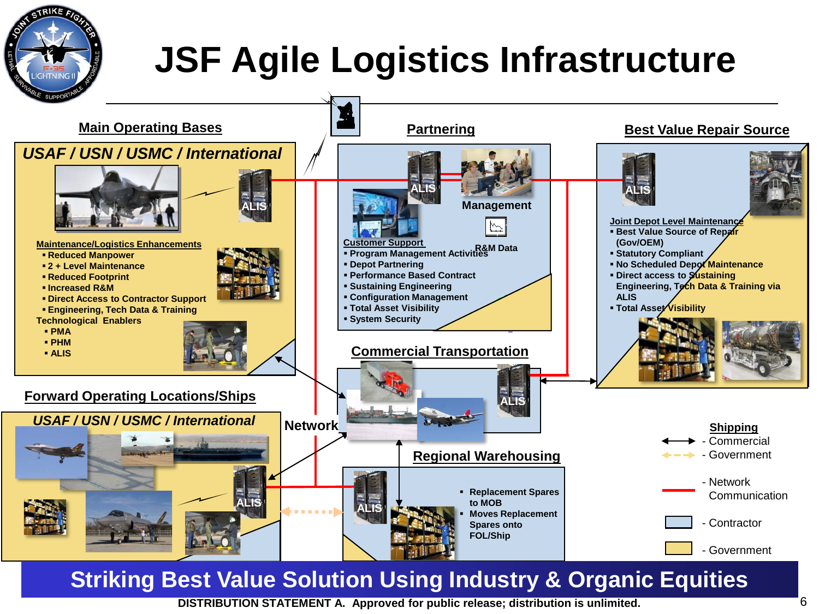

# **JSF Agile Logistics Infrastructure**

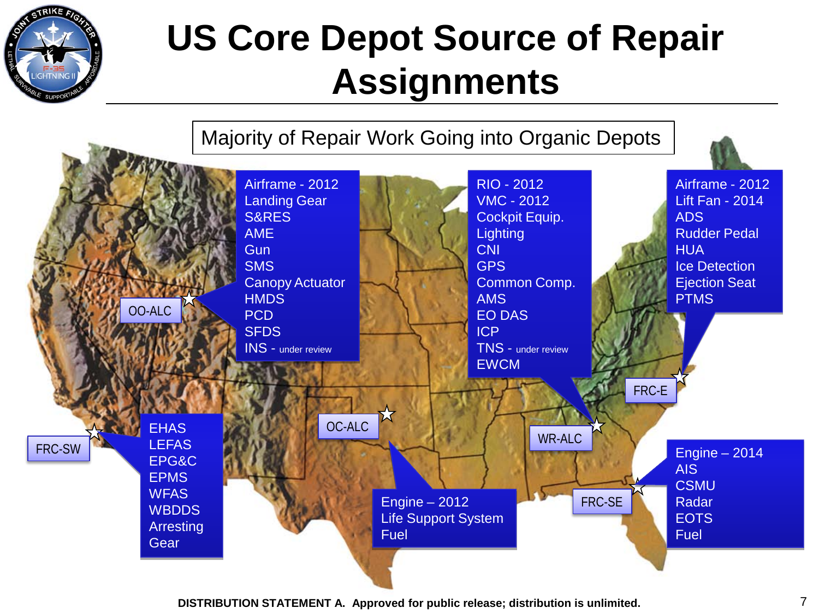

## **US Core Depot Source of Repair Assignments**

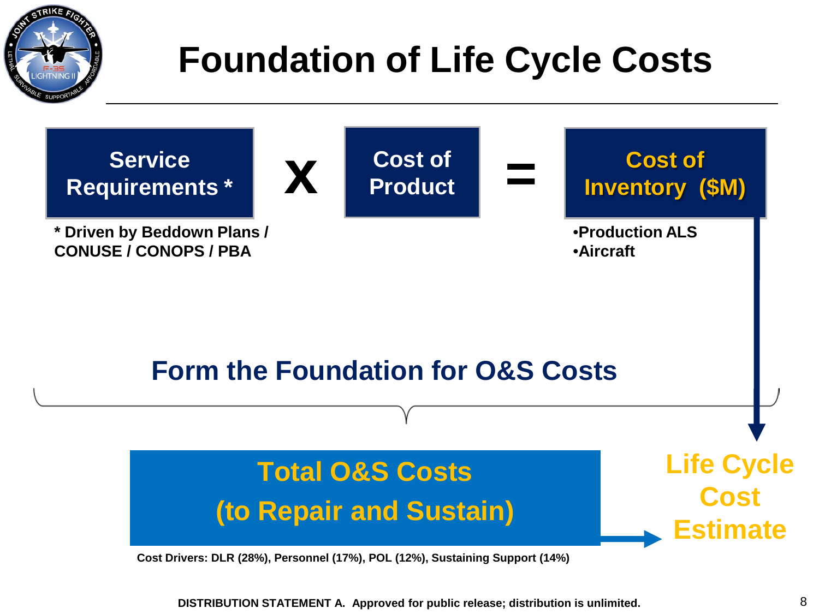

# **Foundation of Life Cycle Costs**

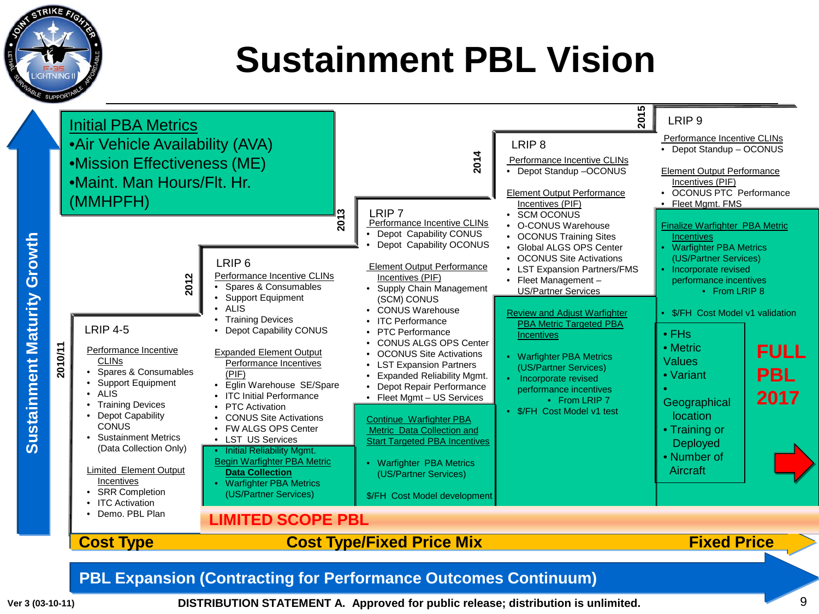

## **Sustainment PBL Vision**

| <b>Sustainment Maturity Growth</b> | 2010/11 | <b>Initial PBA Metrics</b><br>•Air Vehicle Availability (AVA)<br>•Mission Effectiveness (ME)<br>•Maint. Man Hours/Flt. Hr.<br>(MMHPFH)<br>2012<br><b>LRIP 4-5</b><br>Performance Incentive<br><b>CLINS</b><br>• Spares & Consumables<br>• Support Equipment<br>$\bullet$ ALIS<br><b>Training Devices</b><br><b>Depot Capability</b><br><b>CONUS</b><br>• Sustainment Metrics<br>(Data Collection Only)<br><b>Limited Element Output</b><br>Incentives<br>• SRR Completion | က<br>201<br>LRIP <sub>6</sub><br>Performance Incentive CLINs<br>Spares & Consumables<br>• Support Equipment<br>$\bullet$ ALIS<br>• Training Devices<br>• Depot Capability CONUS<br><b>Expanded Element Output</b><br>Performance Incentives<br>(PIF)<br>· Eglin Warehouse SE/Spare<br>• ITC Initial Performance<br>• PTC Activation<br>• CONUS Site Activations<br>• FW ALGS OPS Center<br>• LST US Services<br>• Initial Reliability Mgmt.<br><b>Begin Warfighter PBA Metric</b><br><b>Data Collection</b><br>• Warfighter PBA Metrics<br>(US/Partner Services) | 2014<br>LRIP <sub>7</sub><br>Performance Incentive CLINs<br>• Depot Capability CONUS<br>Depot Capability OCONUS<br>Element Output Performance<br>Incentives (PIF)<br>• Supply Chain Management<br>(SCM) CONUS<br>• CONUS Warehouse<br>• ITC Performance<br>• PTC Performance<br><b>CONUS ALGS OPS Center</b><br><b>OCONUS Site Activations</b><br><b>LST Expansion Partners</b><br><b>Expanded Reliability Mgmt.</b><br>• Depot Repair Performance<br>• Fleet Mgmt - US Services<br>Continue Warfighter PBA<br>Metric Data Collection and<br><b>Start Targeted PBA Incentives</b><br>• Warfighter PBA Metrics<br>(US/Partner Services)<br>\$/FH Cost Model development | 015<br>LRIP <sub>8</sub><br>Performance Incentive CLINs<br>• Depot Standup -OCONUS<br><b>Element Output Performance</b><br>Incentives (PIF)<br>• SCM OCONUS<br>• O-CONUS Warehouse<br>• OCONUS Training Sites<br>• Global ALGS OPS Center<br>• OCONUS Site Activations<br>• LST Expansion Partners/FMS<br>• Fleet Management -<br><b>US/Partner Services</b><br><b>Review and Adjust Warfighter</b><br><b>PBA Metric Targeted PBA</b><br>Incentives<br>• Warfighter PBA Metrics<br>(US/Partner Services)<br>Incorporate revised<br>performance incentives<br>• From LRIP 7<br>• \$/FH Cost Model v1 test | LRIP <sub>9</sub><br>Performance Incentive CLINs<br>• Depot Standup - OCONUS<br><b>Element Output Performance</b><br>Incentives (PIF)<br>• OCONUS PTC Performance<br>• Fleet Mgmt. FMS<br><b>Finalize Warfighter PBA Metric</b><br><b>Incentives</b><br>• Warfighter PBA Metrics<br>(US/Partner Services)<br>• Incorporate revised<br>performance incentives<br>• From LRIP 8<br>• \$/FH Cost Model v1 validation<br>$\cdot$ FHs<br>• Metric<br><b>Values</b><br>• Variant<br>Geographical<br>location<br>• Training or<br>Deployed<br>• Number of<br>Aircraft | <b>FULL</b><br><b>PBL</b><br>2017 |
|------------------------------------|---------|---------------------------------------------------------------------------------------------------------------------------------------------------------------------------------------------------------------------------------------------------------------------------------------------------------------------------------------------------------------------------------------------------------------------------------------------------------------------------|------------------------------------------------------------------------------------------------------------------------------------------------------------------------------------------------------------------------------------------------------------------------------------------------------------------------------------------------------------------------------------------------------------------------------------------------------------------------------------------------------------------------------------------------------------------|------------------------------------------------------------------------------------------------------------------------------------------------------------------------------------------------------------------------------------------------------------------------------------------------------------------------------------------------------------------------------------------------------------------------------------------------------------------------------------------------------------------------------------------------------------------------------------------------------------------------------------------------------------------------|----------------------------------------------------------------------------------------------------------------------------------------------------------------------------------------------------------------------------------------------------------------------------------------------------------------------------------------------------------------------------------------------------------------------------------------------------------------------------------------------------------------------------------------------------------------------------------------------------------|----------------------------------------------------------------------------------------------------------------------------------------------------------------------------------------------------------------------------------------------------------------------------------------------------------------------------------------------------------------------------------------------------------------------------------------------------------------------------------------------------------------------------------------------------------------|-----------------------------------|
|                                    |         | <b>ITC Activation</b><br>• Demo, PBL Plan<br><b>Cost Type</b>                                                                                                                                                                                                                                                                                                                                                                                                             | <b>LIMITED SCOPE PBL</b><br><b>Fixed Price</b><br><b>Cost Type/Fixed Price Mix</b>                                                                                                                                                                                                                                                                                                                                                                                                                                                                               |                                                                                                                                                                                                                                                                                                                                                                                                                                                                                                                                                                                                                                                                        |                                                                                                                                                                                                                                                                                                                                                                                                                                                                                                                                                                                                          |                                                                                                                                                                                                                                                                                                                                                                                                                                                                                                                                                                |                                   |

#### **PBL Expansion (Contracting for Performance Outcomes Continuum)**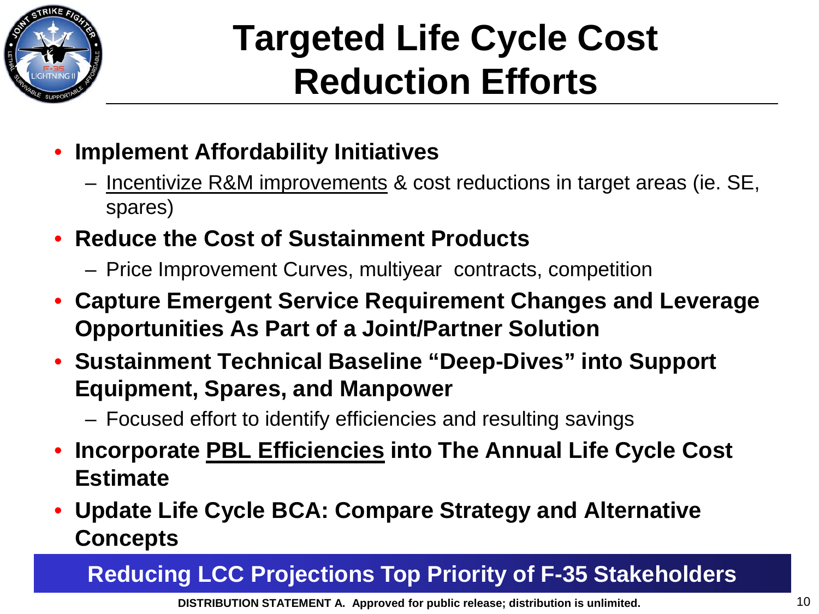

# **Targeted Life Cycle Cost Reduction Efforts**

- **Implement Affordability Initiatives** 
	- Incentivize R&M improvements & cost reductions in target areas (ie. SE, spares)
- **Reduce the Cost of Sustainment Products**
	- Price Improvement Curves, multiyear contracts, competition
- **Capture Emergent Service Requirement Changes and Leverage Opportunities As Part of a Joint/Partner Solution**
- **Sustainment Technical Baseline "Deep-Dives" into Support Equipment, Spares, and Manpower**
	- Focused effort to identify efficiencies and resulting savings
- **Incorporate PBL Efficiencies into The Annual Life Cycle Cost Estimate**
- **Update Life Cycle BCA: Compare Strategy and Alternative Concepts**

### **Reducing LCC Projections Top Priority of F-35 Stakeholders**